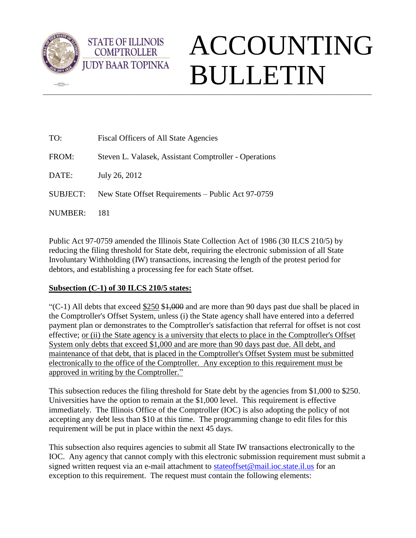

 $\sqrt{2}$ 

## $\_$  ,  $\_$  ,  $\_$  ,  $\_$  ,  $\_$  ,  $\_$  ,  $\_$  ,  $\_$  ,  $\_$  ,  $\_$  ,  $\_$  ,  $\_$  ,  $\_$  ,  $\_$  ,  $\_$  ,  $\_$  ,  $\_$  ,  $\_$  ,  $\_$  ,  $\_$  ,  $\_$  ,  $\_$  ,  $\_$  ,  $\_$  ,  $\_$  ,  $\_$  ,  $\_$  ,  $\_$  ,  $\_$  ,  $\_$  ,  $\_$  ,  $\_$  ,  $\_$  ,  $\_$  ,  $\_$  ,  $\_$  ,  $\_$  , ACCOUNTING BULLETIN

| TO:             | Fiscal Officers of All State Agencies                 |
|-----------------|-------------------------------------------------------|
| FROM:           | Steven L. Valasek, Assistant Comptroller - Operations |
| DATE:           | July 26, 2012                                         |
| <b>SUBJECT:</b> | New State Offset Requirements – Public Act 97-0759    |
| NUMBER:         | 181                                                   |

Public Act 97-0759 amended the Illinois State Collection Act of 1986 (30 ILCS 210/5) by reducing the filing threshold for State debt, requiring the electronic submission of all State Involuntary Withholding (IW) transactions, increasing the length of the protest period for debtors, and establishing a processing fee for each State offset.

## **Subsection (C-1) of 30 ILCS 210/5 states:**

**STATE OF ILLINOIS COMPTROLLER** 

"( $C-1$ ) All debts that exceed \$250 \$1,000 and are more than 90 days past due shall be placed in the Comptroller's Offset System, unless (i) the State agency shall have entered into a deferred payment plan or demonstrates to the Comptroller's satisfaction that referral for offset is not cost effective; or (ii) the State agency is a university that elects to place in the Comptroller's Offset System only debts that exceed \$1,000 and are more than 90 days past due. All debt, and maintenance of that debt, that is placed in the Comptroller's Offset System must be submitted electronically to the office of the Comptroller. Any exception to this requirement must be approved in writing by the Comptroller."

This subsection reduces the filing threshold for State debt by the agencies from \$1,000 to \$250. Universities have the option to remain at the \$1,000 level. This requirement is effective immediately. The Illinois Office of the Comptroller (IOC) is also adopting the policy of not accepting any debt less than \$10 at this time. The programming change to edit files for this requirement will be put in place within the next 45 days.

This subsection also requires agencies to submit all State IW transactions electronically to the IOC. Any agency that cannot comply with this electronic submission requirement must submit a signed written request via an e-mail attachment to [stateoffset@mail.ioc.state.il.us](../AppData/Local/Microsoft/Windows/Temporary%20Internet%20Files/Content.Outlook/UHWUA636/stateoffset@mail.ioc.state.il.us) for an exception to this requirement. The request must contain the following elements: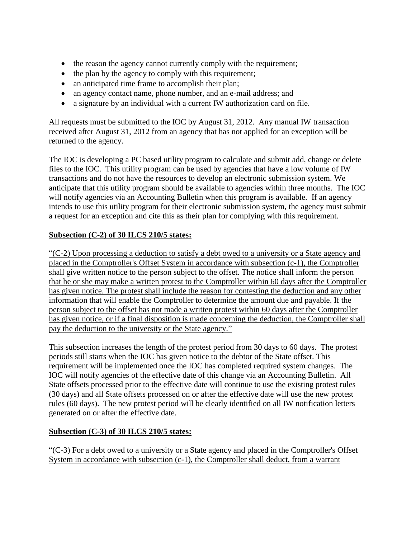- the reason the agency cannot currently comply with the requirement;
- the plan by the agency to comply with this requirement;
- an anticipated time frame to accomplish their plan;
- an agency contact name, phone number, and an e-mail address; and
- a signature by an individual with a current IW authorization card on file.

All requests must be submitted to the IOC by August 31, 2012. Any manual IW transaction received after August 31, 2012 from an agency that has not applied for an exception will be returned to the agency.

The IOC is developing a PC based utility program to calculate and submit add, change or delete files to the IOC. This utility program can be used by agencies that have a low volume of IW transactions and do not have the resources to develop an electronic submission system. We anticipate that this utility program should be available to agencies within three months. The IOC will notify agencies via an Accounting Bulletin when this program is available. If an agency intends to use this utility program for their electronic submission system, the agency must submit a request for an exception and cite this as their plan for complying with this requirement.

## **Subsection (C-2) of 30 ILCS 210/5 states:**

 $C<sub>1</sub>(C-2)$  Upon processing a deduction to satisfy a debt owed to a university or a State agency and placed in the Comptroller's Offset System in accordance with subsection (c-1), the Comptroller shall give written notice to the person subject to the offset. The notice shall inform the person that he or she may make a written protest to the Comptroller within 60 days after the Comptroller has given notice. The protest shall include the reason for contesting the deduction and any other information that will enable the Comptroller to determine the amount due and payable. If the person subject to the offset has not made a written protest within 60 days after the Comptroller has given notice, or if a final disposition is made concerning the deduction, the Comptroller shall pay the deduction to the university or the State agency."

This subsection increases the length of the protest period from 30 days to 60 days. The protest periods still starts when the IOC has given notice to the debtor of the State offset. This requirement will be implemented once the IOC has completed required system changes. The IOC will notify agencies of the effective date of this change via an Accounting Bulletin. All State offsets processed prior to the effective date will continue to use the existing protest rules (30 days) and all State offsets processed on or after the effective date will use the new protest rules (60 days). The new protest period will be clearly identified on all IW notification letters generated on or after the effective date.

## **Subsection (C-3) of 30 ILCS 210/5 states:**

 $C$ (C-3) For a debt owed to a university or a State agency and placed in the Comptroller's Offset System in accordance with subsection (c-1), the Comptroller shall deduct, from a warrant